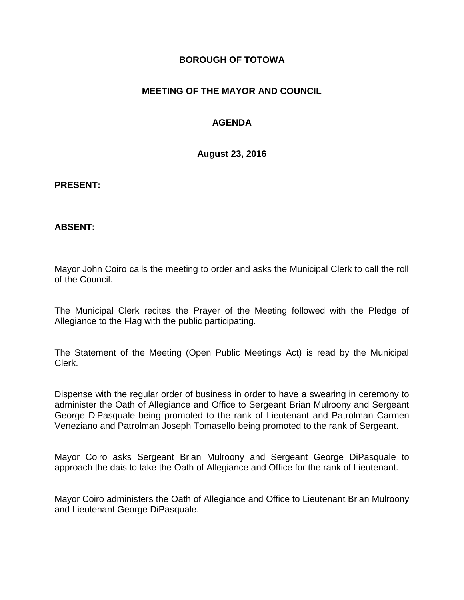### **BOROUGH OF TOTOWA**

### **MEETING OF THE MAYOR AND COUNCIL**

### **AGENDA**

**August 23, 2016**

#### **PRESENT:**

### **ABSENT:**

Mayor John Coiro calls the meeting to order and asks the Municipal Clerk to call the roll of the Council.

The Municipal Clerk recites the Prayer of the Meeting followed with the Pledge of Allegiance to the Flag with the public participating.

The Statement of the Meeting (Open Public Meetings Act) is read by the Municipal Clerk.

Dispense with the regular order of business in order to have a swearing in ceremony to administer the Oath of Allegiance and Office to Sergeant Brian Mulroony and Sergeant George DiPasquale being promoted to the rank of Lieutenant and Patrolman Carmen Veneziano and Patrolman Joseph Tomasello being promoted to the rank of Sergeant.

Mayor Coiro asks Sergeant Brian Mulroony and Sergeant George DiPasquale to approach the dais to take the Oath of Allegiance and Office for the rank of Lieutenant.

Mayor Coiro administers the Oath of Allegiance and Office to Lieutenant Brian Mulroony and Lieutenant George DiPasquale.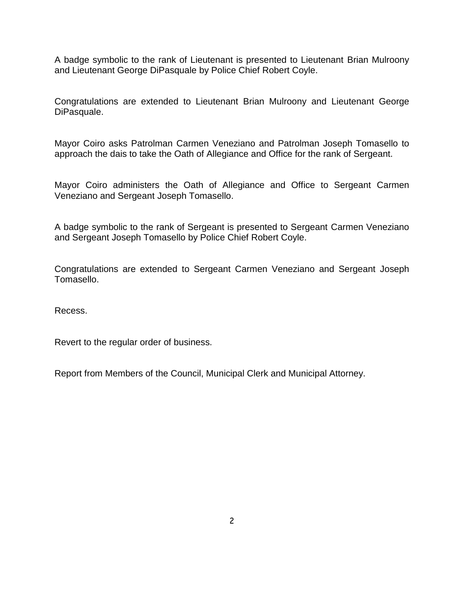A badge symbolic to the rank of Lieutenant is presented to Lieutenant Brian Mulroony and Lieutenant George DiPasquale by Police Chief Robert Coyle.

Congratulations are extended to Lieutenant Brian Mulroony and Lieutenant George DiPasquale.

Mayor Coiro asks Patrolman Carmen Veneziano and Patrolman Joseph Tomasello to approach the dais to take the Oath of Allegiance and Office for the rank of Sergeant.

Mayor Coiro administers the Oath of Allegiance and Office to Sergeant Carmen Veneziano and Sergeant Joseph Tomasello.

A badge symbolic to the rank of Sergeant is presented to Sergeant Carmen Veneziano and Sergeant Joseph Tomasello by Police Chief Robert Coyle.

Congratulations are extended to Sergeant Carmen Veneziano and Sergeant Joseph Tomasello.

Recess.

Revert to the regular order of business.

Report from Members of the Council, Municipal Clerk and Municipal Attorney.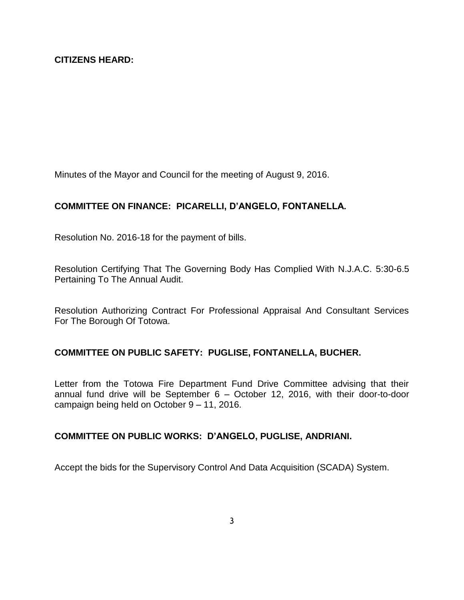Minutes of the Mayor and Council for the meeting of August 9, 2016.

# **COMMITTEE ON FINANCE: PICARELLI, D'ANGELO, FONTANELLA.**

Resolution No. 2016-18 for the payment of bills.

Resolution Certifying That The Governing Body Has Complied With N.J.A.C. 5:30-6.5 Pertaining To The Annual Audit.

Resolution Authorizing Contract For Professional Appraisal And Consultant Services For The Borough Of Totowa.

### **COMMITTEE ON PUBLIC SAFETY: PUGLISE, FONTANELLA, BUCHER.**

Letter from the Totowa Fire Department Fund Drive Committee advising that their annual fund drive will be September 6 – October 12, 2016, with their door-to-door campaign being held on October 9 – 11, 2016.

### **COMMITTEE ON PUBLIC WORKS: D'ANGELO, PUGLISE, ANDRIANI.**

Accept the bids for the Supervisory Control And Data Acquisition (SCADA) System.